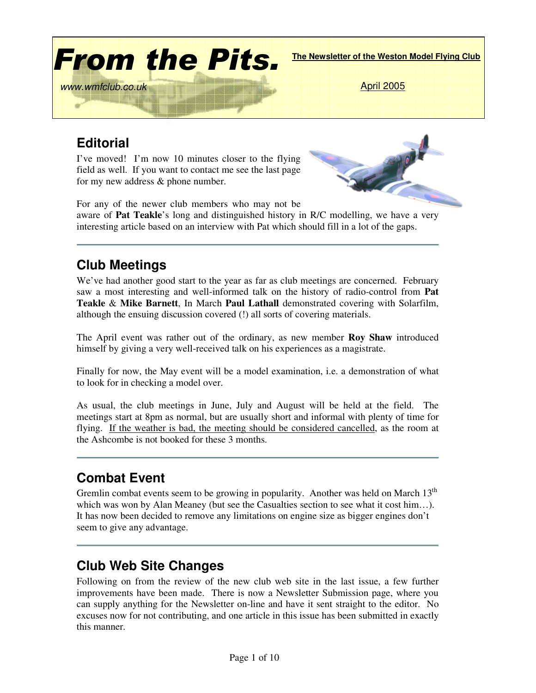

# **Editorial**

I've moved! I'm now 10 minutes closer to the flying field as well. If you want to contact me see the last page for my new address & phone number.



For any of the newer club members who may not be aware of **Pat Teakle**'s long and distinguished history in R/C modelling, we have a very interesting article based on an interview with Pat which should fill in a lot of the gaps.

# **Club Meetings**

We've had another good start to the year as far as club meetings are concerned. February saw a most interesting and well-informed talk on the history of radio-control from **Pat Teakle** & **Mike Barnett**, In March **Paul Lathall** demonstrated covering with Solarfilm, although the ensuing discussion covered (!) all sorts of covering materials.

The April event was rather out of the ordinary, as new member **Roy Shaw** introduced himself by giving a very well-received talk on his experiences as a magistrate.

Finally for now, the May event will be a model examination, i.e. a demonstration of what to look for in checking a model over.

As usual, the club meetings in June, July and August will be held at the field. The meetings start at 8pm as normal, but are usually short and informal with plenty of time for flying. If the weather is bad, the meeting should be considered cancelled, as the room at the Ashcombe is not booked for these 3 months.

# **Combat Event**

Gremlin combat events seem to be growing in popularity. Another was held on March  $13<sup>th</sup>$ which was won by Alan Meaney (but see the Casualties section to see what it cost him...). It has now been decided to remove any limitations on engine size as bigger engines don't seem to give any advantage.

### **Club Web Site Changes**

Following on from the review of the new club web site in the last issue, a few further improvements have been made. There is now a Newsletter Submission page, where you can supply anything for the Newsletter on-line and have it sent straight to the editor. No excuses now for not contributing, and one article in this issue has been submitted in exactly this manner.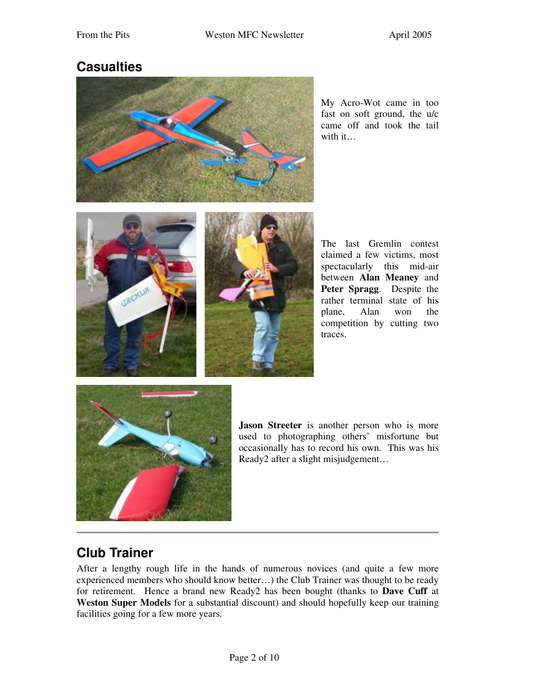### **Casualties**



My Acro-Wot came in too fast on soft ground, the u/c came off and took the tail with it…





The last Gremlin contest claimed a few victims, most spectacularly this mid-air between **Alan Meaney** and **Peter Spragg**. Despite the rather terminal state of his plane, Alan won the competition by cutting two traces.



**Jason Streeter** is another person who is more used to photographing others' misfortune but occasionally has to record his own. This was his Ready2 after a slight misjudgement…

# **Club Trainer**

After a lengthy rough life in the hands of numerous novices (and quite a few more experienced members who should know better…) the Club Trainer was thought to be ready for retirement. Hence a brand new Ready2 has been bought (thanks to **Dave Cuff** at **Weston Super Models** for a substantial discount) and should hopefully keep our training facilities going for a few more years.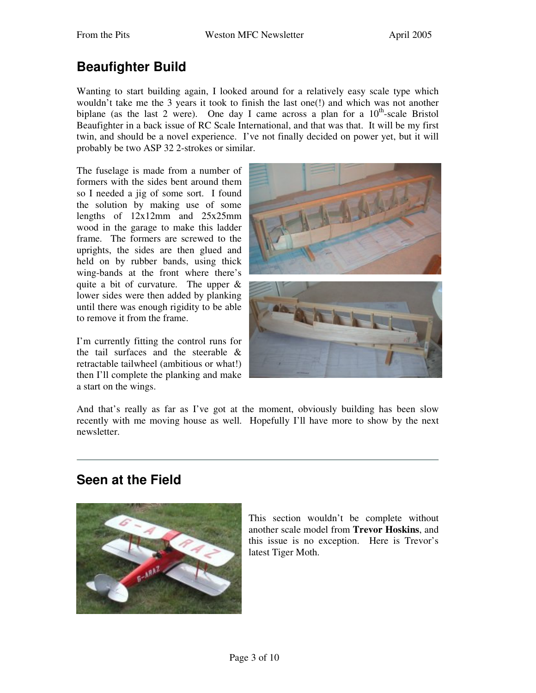# **Beaufighter Build**

Wanting to start building again, I looked around for a relatively easy scale type which wouldn't take me the 3 years it took to finish the last one(!) and which was not another biplane (as the last 2 were). One day I came across a plan for a  $10<sup>th</sup>$ -scale Bristol Beaufighter in a back issue of RC Scale International, and that was that. It will be my first twin, and should be a novel experience. I've not finally decided on power yet, but it will probably be two ASP 32 2-strokes or similar.

The fuselage is made from a number of formers with the sides bent around them so I needed a jig of some sort. I found the solution by making use of some lengths of 12x12mm and 25x25mm wood in the garage to make this ladder frame. The formers are screwed to the uprights, the sides are then glued and held on by rubber bands, using thick wing-bands at the front where there's quite a bit of curvature. The upper & lower sides were then added by planking until there was enough rigidity to be able to remove it from the frame.

I'm currently fitting the control runs for the tail surfaces and the steerable & retractable tailwheel (ambitious or what!) then I'll complete the planking and make a start on the wings.



And that's really as far as I've got at the moment, obviously building has been slow recently with me moving house as well. Hopefully I'll have more to show by the next newsletter.

### **Seen at the Field**



This section wouldn't be complete without another scale model from **Trevor Hoskins**, and this issue is no exception. Here is Trevor's latest Tiger Moth.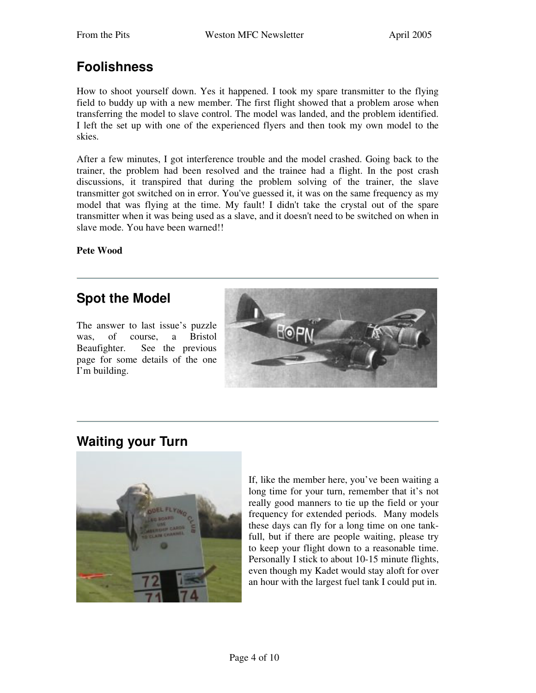## **Foolishness**

How to shoot yourself down. Yes it happened. I took my spare transmitter to the flying field to buddy up with a new member. The first flight showed that a problem arose when transferring the model to slave control. The model was landed, and the problem identified. I left the set up with one of the experienced flyers and then took my own model to the skies.

After a few minutes, I got interference trouble and the model crashed. Going back to the trainer, the problem had been resolved and the trainee had a flight. In the post crash discussions, it transpired that during the problem solving of the trainer, the slave transmitter got switched on in error. You've guessed it, it was on the same frequency as my model that was flying at the time. My fault! I didn't take the crystal out of the spare transmitter when it was being used as a slave, and it doesn't need to be switched on when in slave mode. You have been warned!!

**Pete Wood**

# **Spot the Model**

The answer to last issue's puzzle was, of course, a Bristol Beaufighter. See the previous page for some details of the one I'm building.



### **Waiting your Turn**



If, like the member here, you've been waiting a long time for your turn, remember that it's not really good manners to tie up the field or your frequency for extended periods. Many models these days can fly for a long time on one tankfull, but if there are people waiting, please try to keep your flight down to a reasonable time. Personally I stick to about 10-15 minute flights, even though my Kadet would stay aloft for over an hour with the largest fuel tank I could put in.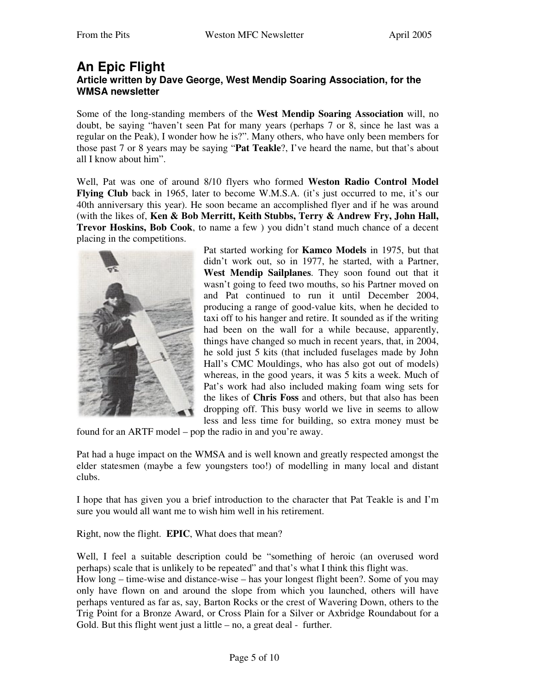### **An Epic Flight Article written by Dave George, West Mendip Soaring Association, for the WMSA newsletter**

Some of the long-standing members of the **West Mendip Soaring Association** will, no doubt, be saying "haven't seen Pat for many years (perhaps 7 or 8, since he last was a regular on the Peak), I wonder how he is?". Many others, who have only been members for those past 7 or 8 years may be saying "**Pat Teakle**?, I've heard the name, but that's about all I know about him".

Well, Pat was one of around 8/10 flyers who formed **Weston Radio Control Model Flying Club** back in 1965, later to become W.M.S.A. (it's just occurred to me, it's our 40th anniversary this year). He soon became an accomplished flyer and if he was around (with the likes of, **Ken & Bob Merritt, Keith Stubbs, Terry & Andrew Fry, John Hall, Trevor Hoskins, Bob Cook**, to name a few ) you didn't stand much chance of a decent placing in the competitions.



Pat started working for **Kamco Models** in 1975, but that didn't work out, so in 1977, he started, with a Partner, **West Mendip Sailplanes**. They soon found out that it wasn't going to feed two mouths, so his Partner moved on and Pat continued to run it until December 2004, producing a range of good-value kits, when he decided to taxi off to his hanger and retire. It sounded as if the writing had been on the wall for a while because, apparently, things have changed so much in recent years, that, in 2004, he sold just 5 kits (that included fuselages made by John Hall's CMC Mouldings, who has also got out of models) whereas, in the good years, it was 5 kits a week. Much of Pat's work had also included making foam wing sets for the likes of **Chris Foss** and others, but that also has been dropping off. This busy world we live in seems to allow less and less time for building, so extra money must be

found for an ARTF model – pop the radio in and you're away.

Pat had a huge impact on the WMSA and is well known and greatly respected amongst the elder statesmen (maybe a few youngsters too!) of modelling in many local and distant clubs.

I hope that has given you a brief introduction to the character that Pat Teakle is and I'm sure you would all want me to wish him well in his retirement.

Right, now the flight. **EPIC**, What does that mean?

Well, I feel a suitable description could be "something of heroic (an overused word perhaps) scale that is unlikely to be repeated" and that's what I think this flight was.

How long – time-wise and distance-wise – has your longest flight been?. Some of you may only have flown on and around the slope from which you launched, others will have perhaps ventured as far as, say, Barton Rocks or the crest of Wavering Down, others to the Trig Point for a Bronze Award, or Cross Plain for a Silver or Axbridge Roundabout for a Gold. But this flight went just a little  $-$  no, a great deal - further.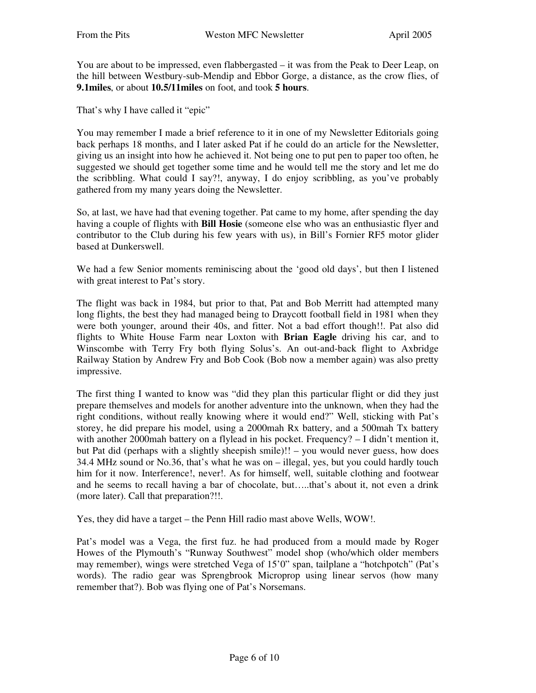You are about to be impressed, even flabbergasted – it was from the Peak to Deer Leap, on the hill between Westbury-sub-Mendip and Ebbor Gorge, a distance, as the crow flies, of **9.1miles**, or about **10.5/11miles** on foot, and took **5 hours**.

That's why I have called it "epic"

You may remember I made a brief reference to it in one of my Newsletter Editorials going back perhaps 18 months, and I later asked Pat if he could do an article for the Newsletter, giving us an insight into how he achieved it. Not being one to put pen to paper too often, he suggested we should get together some time and he would tell me the story and let me do the scribbling. What could I say?!, anyway, I do enjoy scribbling, as you've probably gathered from my many years doing the Newsletter.

So, at last, we have had that evening together. Pat came to my home, after spending the day having a couple of flights with **Bill Hosie** (someone else who was an enthusiastic flyer and contributor to the Club during his few years with us), in Bill's Fornier RF5 motor glider based at Dunkerswell.

We had a few Senior moments reminiscing about the 'good old days', but then I listened with great interest to Pat's story.

The flight was back in 1984, but prior to that, Pat and Bob Merritt had attempted many long flights, the best they had managed being to Draycott football field in 1981 when they were both younger, around their 40s, and fitter. Not a bad effort though!!. Pat also did flights to White House Farm near Loxton with **Brian Eagle** driving his car, and to Winscombe with Terry Fry both flying Solus's. An out-and-back flight to Axbridge Railway Station by Andrew Fry and Bob Cook (Bob now a member again) was also pretty impressive.

The first thing I wanted to know was "did they plan this particular flight or did they just prepare themselves and models for another adventure into the unknown, when they had the right conditions, without really knowing where it would end?" Well, sticking with Pat's storey, he did prepare his model, using a 2000mah Rx battery, and a 500mah Tx battery with another 2000mah battery on a flylead in his pocket. Frequency?  $- I$  didn't mention it, but Pat did (perhaps with a slightly sheepish smile)!! – you would never guess, how does 34.4 MHz sound or No.36, that's what he was on – illegal, yes, but you could hardly touch him for it now. Interference!, never!. As for himself, well, suitable clothing and footwear and he seems to recall having a bar of chocolate, but…..that's about it, not even a drink (more later). Call that preparation?!!.

Yes, they did have a target – the Penn Hill radio mast above Wells, WOW!.

Pat's model was a Vega, the first fuz. he had produced from a mould made by Roger Howes of the Plymouth's "Runway Southwest" model shop (who/which older members may remember), wings were stretched Vega of 15'0" span, tailplane a "hotchpotch" (Pat's words). The radio gear was Sprengbrook Microprop using linear servos (how many remember that?). Bob was flying one of Pat's Norsemans.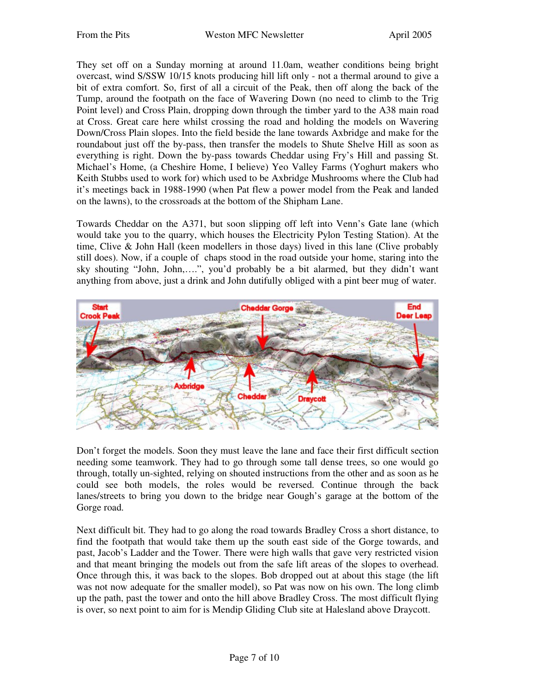They set off on a Sunday morning at around 11.0am, weather conditions being bright overcast, wind S/SSW 10/15 knots producing hill lift only - not a thermal around to give a bit of extra comfort. So, first of all a circuit of the Peak, then off along the back of the Tump, around the footpath on the face of Wavering Down (no need to climb to the Trig Point level) and Cross Plain, dropping down through the timber yard to the A38 main road at Cross. Great care here whilst crossing the road and holding the models on Wavering Down/Cross Plain slopes. Into the field beside the lane towards Axbridge and make for the roundabout just off the by-pass, then transfer the models to Shute Shelve Hill as soon as everything is right. Down the by-pass towards Cheddar using Fry's Hill and passing St. Michael's Home, (a Cheshire Home, I believe) Yeo Valley Farms (Yoghurt makers who Keith Stubbs used to work for) which used to be Axbridge Mushrooms where the Club had it's meetings back in 1988-1990 (when Pat flew a power model from the Peak and landed on the lawns), to the crossroads at the bottom of the Shipham Lane.

Towards Cheddar on the A371, but soon slipping off left into Venn's Gate lane (which would take you to the quarry, which houses the Electricity Pylon Testing Station). At the time, Clive & John Hall (keen modellers in those days) lived in this lane (Clive probably still does). Now, if a couple of chaps stood in the road outside your home, staring into the sky shouting "John, John,….", you'd probably be a bit alarmed, but they didn't want anything from above, just a drink and John dutifully obliged with a pint beer mug of water.



Don't forget the models. Soon they must leave the lane and face their first difficult section needing some teamwork. They had to go through some tall dense trees, so one would go through, totally un-sighted, relying on shouted instructions from the other and as soon as he could see both models, the roles would be reversed. Continue through the back lanes/streets to bring you down to the bridge near Gough's garage at the bottom of the Gorge road.

Next difficult bit. They had to go along the road towards Bradley Cross a short distance, to find the footpath that would take them up the south east side of the Gorge towards, and past, Jacob's Ladder and the Tower. There were high walls that gave very restricted vision and that meant bringing the models out from the safe lift areas of the slopes to overhead. Once through this, it was back to the slopes. Bob dropped out at about this stage (the lift was not now adequate for the smaller model), so Pat was now on his own. The long climb up the path, past the tower and onto the hill above Bradley Cross. The most difficult flying is over, so next point to aim for is Mendip Gliding Club site at Halesland above Draycott.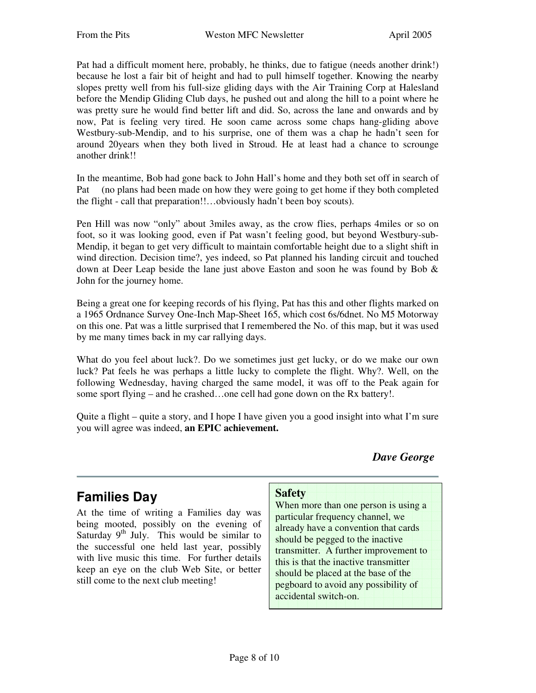Pat had a difficult moment here, probably, he thinks, due to fatigue (needs another drink!) because he lost a fair bit of height and had to pull himself together. Knowing the nearby slopes pretty well from his full-size gliding days with the Air Training Corp at Halesland before the Mendip Gliding Club days, he pushed out and along the hill to a point where he was pretty sure he would find better lift and did. So, across the lane and onwards and by now, Pat is feeling very tired. He soon came across some chaps hang-gliding above Westbury-sub-Mendip, and to his surprise, one of them was a chap he hadn't seen for around 20years when they both lived in Stroud. He at least had a chance to scrounge another drink!!

In the meantime, Bob had gone back to John Hall's home and they both set off in search of Pat (no plans had been made on how they were going to get home if they both completed the flight - call that preparation!!…obviously hadn't been boy scouts).

Pen Hill was now "only" about 3miles away, as the crow flies, perhaps 4miles or so on foot, so it was looking good, even if Pat wasn't feeling good, but beyond Westbury-sub-Mendip, it began to get very difficult to maintain comfortable height due to a slight shift in wind direction. Decision time?, yes indeed, so Pat planned his landing circuit and touched down at Deer Leap beside the lane just above Easton and soon he was found by Bob & John for the journey home.

Being a great one for keeping records of his flying, Pat has this and other flights marked on a 1965 Ordnance Survey One-Inch Map-Sheet 165, which cost 6s/6dnet. No M5 Motorway on this one. Pat was a little surprised that I remembered the No. of this map, but it was used by me many times back in my car rallying days.

What do you feel about luck?. Do we sometimes just get lucky, or do we make our own luck? Pat feels he was perhaps a little lucky to complete the flight. Why?. Well, on the following Wednesday, having charged the same model, it was off to the Peak again for some sport flying – and he crashed…one cell had gone down on the Rx battery!.

Quite a flight – quite a story, and I hope I have given you a good insight into what I'm sure you will agree was indeed, **an EPIC achievement.**

*Dave George*

### **Families Day**

At the time of writing a Families day was being mooted, possibly on the evening of Saturday  $9<sup>th</sup>$  July. This would be similar to the successful one held last year, possibly with live music this time. For further details keep an eye on the club Web Site, or better still come to the next club meeting!

### **Safety**

When more than one person is using a particular frequency channel, we already have a convention that cards should be pegged to the inactive transmitter. A further improvement to this is that the inactive transmitter should be placed at the base of the pegboard to avoid any possibility of accidental switch-on.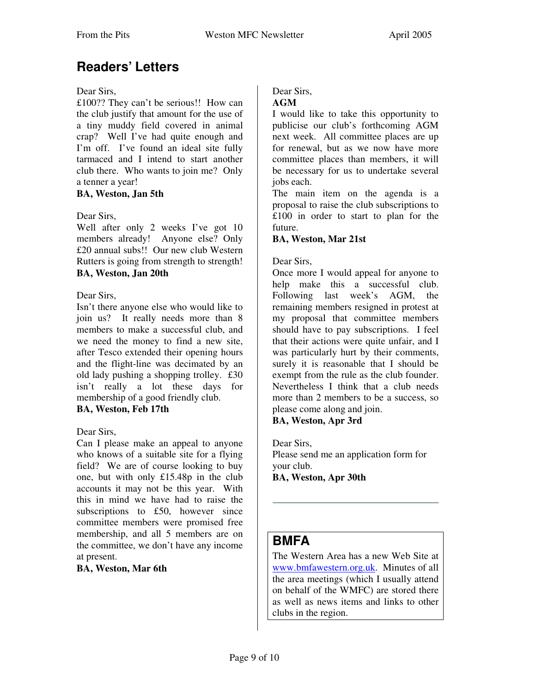## **Readers' Letters**

#### Dear Sirs,

£100?? They can't be serious!! How can the club justify that amount for the use of a tiny muddy field covered in animal crap? Well I've had quite enough and I'm off. I've found an ideal site fully tarmaced and I intend to start another club there. Who wants to join me? Only a tenner a year!

#### **BA, Weston, Jan 5th**

#### Dear Sirs,

Well after only 2 weeks I've got 10 members already! Anyone else? Only £20 annual subs!! Our new club Western Rutters is going from strength to strength! **BA, Weston, Jan 20th**

#### Dear Sirs,

Isn't there anyone else who would like to join us? It really needs more than 8 members to make a successful club, and we need the money to find a new site, after Tesco extended their opening hours and the flight-line was decimated by an old lady pushing a shopping trolley. £30 isn't really a lot these days for membership of a good friendly club.

### **BA, Weston, Feb 17th**

#### Dear Sirs,

Can I please make an appeal to anyone who knows of a suitable site for a flying field? We are of course looking to buy one, but with only £15.48p in the club accounts it may not be this year. With this in mind we have had to raise the subscriptions to £50, however since committee members were promised free membership, and all 5 members are on the committee, we don't have any income at present.

#### **BA, Weston, Mar 6th**

### Dear Sirs,

#### **AGM**

I would like to take this opportunity to publicise our club's forthcoming AGM next week. All committee places are up for renewal, but as we now have more committee places than members, it will be necessary for us to undertake several jobs each.

The main item on the agenda is a proposal to raise the club subscriptions to £100 in order to start to plan for the future.

#### **BA, Weston, Mar 21st**

#### Dear Sirs,

Once more I would appeal for anyone to help make this a successful club. Following last week's AGM, the remaining members resigned in protest at my proposal that committee members should have to pay subscriptions. I feel that their actions were quite unfair, and I was particularly hurt by their comments, surely it is reasonable that I should be exempt from the rule as the club founder. Nevertheless I think that a club needs more than 2 members to be a success, so please come along and join.

#### **BA, Weston, Apr 3rd**

Dear Sirs, Please send me an application form for your club. **BA, Weston, Apr 30th**

### **BMFA**

The Western Area has a new Web Site at www.bmfawestern.org.uk. Minutes of all the area meetings (which I usually attend on behalf of the WMFC) are stored there as well as news items and links to other clubs in the region.